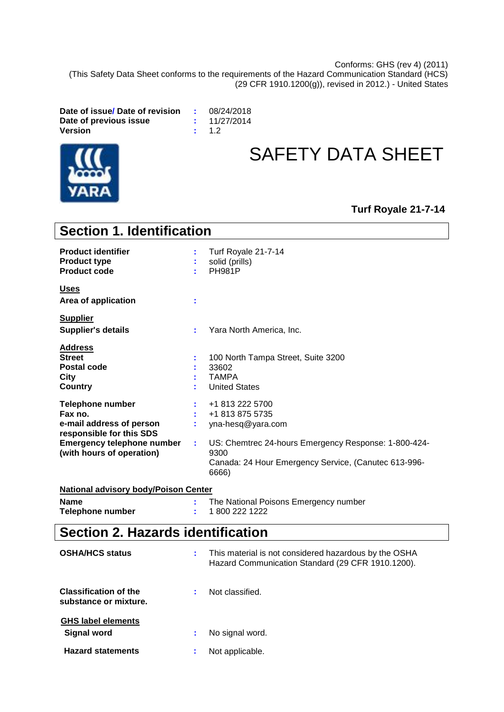Conforms: GHS (rev 4) (2011) (This Safety Data Sheet conforms to the requirements of the Hazard Communication Standard (HCS) (29 CFR 1910.1200(g)), revised in 2012.) - United States

**Date of issue/ Date of revision :** 08/24/2018 **Date of previous issue**  $\qquad$  **: Version :** 1.2



# SAFETY DATA SHEET

# **Turf Royale 21-7-14**

| <b>Section 1. Identification</b>                                                                                                                             |    |                                                                                                                                                                                          |
|--------------------------------------------------------------------------------------------------------------------------------------------------------------|----|------------------------------------------------------------------------------------------------------------------------------------------------------------------------------------------|
| <b>Product identifier</b><br><b>Product type</b><br><b>Product code</b>                                                                                      |    | Turf Royale 21-7-14<br>solid (prills)<br><b>PH981P</b>                                                                                                                                   |
| <b>Uses</b><br>Area of application                                                                                                                           | ÷  |                                                                                                                                                                                          |
| <b>Supplier</b><br><b>Supplier's details</b>                                                                                                                 | ÷. | Yara North America, Inc.                                                                                                                                                                 |
| Address<br><b>Street</b><br><b>Postal code</b><br><b>City</b><br><b>Country</b>                                                                              |    | 100 North Tampa Street, Suite 3200<br>33602<br><b>TAMPA</b><br><b>United States</b>                                                                                                      |
| <b>Telephone number</b><br>Fax no.<br>e-mail address of person<br>responsible for this SDS<br><b>Emergency telephone number</b><br>(with hours of operation) | ÷. | +1 813 222 5700<br>+1 813 875 5735<br>yna-hesq@yara.com<br>US: Chemtrec 24-hours Emergency Response: 1-800-424-<br>9300<br>Canada: 24 Hour Emergency Service, (Canutec 613-996-<br>6666) |
| <b>National advisory body/Poison Center</b>                                                                                                                  |    |                                                                                                                                                                                          |
| <b>Name</b><br><b>Telephone number</b>                                                                                                                       | ÷. | The National Poisons Emergency number<br>1800 222 1222                                                                                                                                   |
| <b>Section 2. Hazards identification</b>                                                                                                                     |    |                                                                                                                                                                                          |
| <b>OSHA/HCS status</b>                                                                                                                                       | ÷. | This material is not considered hazardous by the OSHA<br>Hazard Communication Standard (29 CFR 1910.1200).                                                                               |
| <b>Classification of the</b><br>substance or mixture.                                                                                                        | ÷  | Not classified.                                                                                                                                                                          |
| <b>GHS label elements</b><br><b>Signal word</b>                                                                                                              | ÷  | No signal word.                                                                                                                                                                          |
| <b>Hazard statements</b>                                                                                                                                     |    | Not applicable.                                                                                                                                                                          |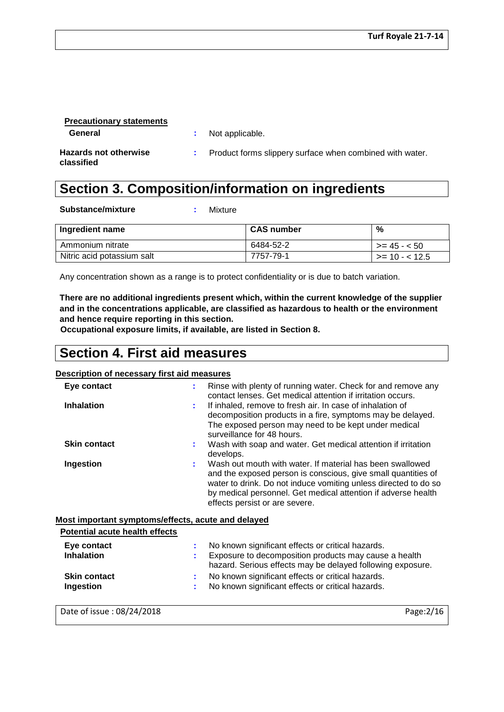| <b>Precautionary statements</b>            |                                                            |
|--------------------------------------------|------------------------------------------------------------|
| General                                    | : Not applicable.                                          |
| <b>Hazards not otherwise</b><br>classified | : Product forms slippery surface when combined with water. |

# **Section 3. Composition/information on ingredients**

**Substance/mixture :** Mixture

| Ingredient name            | <b>CAS number</b> | %                   |
|----------------------------|-------------------|---------------------|
| Ammonium nitrate           | 6484-52-2         | $\ge$ = 45 - < 50   |
| Nitric acid potassium salt | 7757-79-1         | $\ge$ = 10 - < 12.5 |

Any concentration shown as a range is to protect confidentiality or is due to batch variation.

**There are no additional ingredients present which, within the current knowledge of the supplier and in the concentrations applicable, are classified as hazardous to health or the environment and hence require reporting in this section.**

**Occupational exposure limits, if available, are listed in Section 8.**

# **Section 4. First aid measures**

### **Description of necessary first aid measures**

| Eye contact                           | Rinse with plenty of running water. Check for and remove any<br>÷<br>contact lenses. Get medical attention if irritation occurs.                                                                                                                                                                       |
|---------------------------------------|--------------------------------------------------------------------------------------------------------------------------------------------------------------------------------------------------------------------------------------------------------------------------------------------------------|
| <b>Inhalation</b>                     | If inhaled, remove to fresh air. In case of inhalation of<br>÷.<br>decomposition products in a fire, symptoms may be delayed.<br>The exposed person may need to be kept under medical<br>surveillance for 48 hours.                                                                                    |
| <b>Skin contact</b>                   | Wash with soap and water. Get medical attention if irritation<br>÷.<br>develops.                                                                                                                                                                                                                       |
| Ingestion                             | Wash out mouth with water. If material has been swallowed<br>÷.<br>and the exposed person is conscious, give small quantities of<br>water to drink. Do not induce vomiting unless directed to do so<br>by medical personnel. Get medical attention if adverse health<br>effects persist or are severe. |
|                                       | Most important symptoms/effects, acute and delayed                                                                                                                                                                                                                                                     |
| <b>Potential acute health effects</b> |                                                                                                                                                                                                                                                                                                        |

**Inhalation 10. Exposure to decomposition products may cause a health inhalation** hazard. Serious effects may be delayed following exposure. **Ingestion :** No known significant effects or critical hazards. **Eye contact Exercise Exercise 2.1** No known significant effects or critical hazards. **Skin contact :** No known significant effects or critical hazards.

Date of issue : 08/24/2018 Page:2/16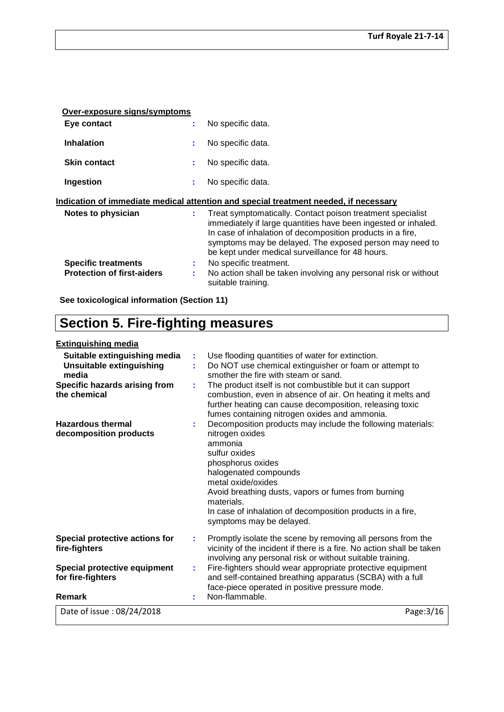| Over-exposure signs/symptoms                                    |         |                                                                                                                                                                                                                                                                                                           |
|-----------------------------------------------------------------|---------|-----------------------------------------------------------------------------------------------------------------------------------------------------------------------------------------------------------------------------------------------------------------------------------------------------------|
| Eye contact                                                     | t       | No specific data.                                                                                                                                                                                                                                                                                         |
| <b>Inhalation</b>                                               | ÷       | No specific data.                                                                                                                                                                                                                                                                                         |
| <b>Skin contact</b>                                             | ÷       | No specific data.                                                                                                                                                                                                                                                                                         |
| Ingestion                                                       | ÷       | No specific data.                                                                                                                                                                                                                                                                                         |
|                                                                 |         | Indication of immediate medical attention and special treatment needed, if necessary                                                                                                                                                                                                                      |
| Notes to physician                                              | ÷.      | Treat symptomatically. Contact poison treatment specialist<br>immediately if large quantities have been ingested or inhaled.<br>In case of inhalation of decomposition products in a fire,<br>symptoms may be delayed. The exposed person may need to<br>be kept under medical surveillance for 48 hours. |
| <b>Specific treatments</b><br><b>Protection of first-aiders</b> | ÷.<br>÷ | No specific treatment.<br>No action shall be taken involving any personal risk or without<br>suitable training.                                                                                                                                                                                           |

**See toxicological information (Section 11)**

# **Section 5. Fire-fighting measures**

| <b>Extinguishing media</b> |
|----------------------------|
|                            |

| Suitable extinguishing media<br><b>Unsuitable extinguishing</b><br>media<br>Specific hazards arising from<br>the chemical | t.<br>÷.<br>÷ | Use flooding quantities of water for extinction.<br>Do NOT use chemical extinguisher or foam or attempt to<br>smother the fire with steam or sand.<br>The product itself is not combustible but it can support<br>combustion, even in absence of air. On heating it melts and<br>further heating can cause decomposition, releasing toxic<br>fumes containing nitrogen oxides and ammonia. |
|---------------------------------------------------------------------------------------------------------------------------|---------------|--------------------------------------------------------------------------------------------------------------------------------------------------------------------------------------------------------------------------------------------------------------------------------------------------------------------------------------------------------------------------------------------|
| <b>Hazardous thermal</b><br>decomposition products                                                                        |               | Decomposition products may include the following materials:<br>nitrogen oxides<br>ammonia<br>sulfur oxides<br>phosphorus oxides<br>halogenated compounds<br>metal oxide/oxides<br>Avoid breathing dusts, vapors or fumes from burning<br>materials.<br>In case of inhalation of decomposition products in a fire,<br>symptoms may be delayed.                                              |
| Special protective actions for<br>fire-fighters                                                                           | ÷             | Promptly isolate the scene by removing all persons from the<br>vicinity of the incident if there is a fire. No action shall be taken<br>involving any personal risk or without suitable training.                                                                                                                                                                                          |
| Special protective equipment<br>for fire-fighters<br>Remark                                                               | ÷             | Fire-fighters should wear appropriate protective equipment<br>and self-contained breathing apparatus (SCBA) with a full<br>face-piece operated in positive pressure mode.<br>Non-flammable.                                                                                                                                                                                                |
| Date of issue: 08/24/2018                                                                                                 |               | Page: 3/16                                                                                                                                                                                                                                                                                                                                                                                 |
|                                                                                                                           |               |                                                                                                                                                                                                                                                                                                                                                                                            |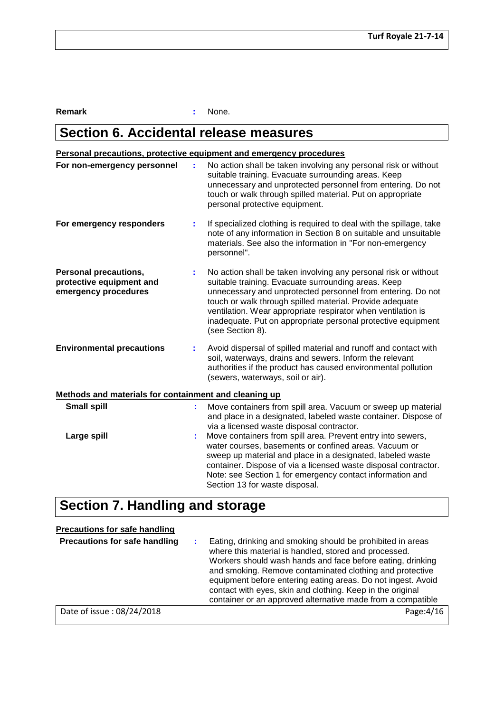**Remark :** None.

# **Section 6. Accidental release measures**

# **Personal precautions, protective equipment and emergency procedures**

| For non-emergency personnel                                                      | ÷  | No action shall be taken involving any personal risk or without<br>suitable training. Evacuate surrounding areas. Keep<br>unnecessary and unprotected personnel from entering. Do not<br>touch or walk through spilled material. Put on appropriate<br>personal protective equipment.                                                                                                                 |
|----------------------------------------------------------------------------------|----|-------------------------------------------------------------------------------------------------------------------------------------------------------------------------------------------------------------------------------------------------------------------------------------------------------------------------------------------------------------------------------------------------------|
| For emergency responders                                                         | ÷. | If specialized clothing is required to deal with the spillage, take<br>note of any information in Section 8 on suitable and unsuitable<br>materials. See also the information in "For non-emergency<br>personnel".                                                                                                                                                                                    |
| <b>Personal precautions,</b><br>protective equipment and<br>emergency procedures | ÷  | No action shall be taken involving any personal risk or without<br>suitable training. Evacuate surrounding areas. Keep<br>unnecessary and unprotected personnel from entering. Do not<br>touch or walk through spilled material. Provide adequate<br>ventilation. Wear appropriate respirator when ventilation is<br>inadequate. Put on appropriate personal protective equipment<br>(see Section 8). |
| <b>Environmental precautions</b>                                                 | ÷. | Avoid dispersal of spilled material and runoff and contact with<br>soil, waterways, drains and sewers. Inform the relevant<br>authorities if the product has caused environmental pollution<br>(sewers, waterways, soil or air).                                                                                                                                                                      |
| Methods and materials for containment and cleaning up                            |    |                                                                                                                                                                                                                                                                                                                                                                                                       |
| <b>Small spill</b>                                                               | t. | Move containers from spill area. Vacuum or sweep up material<br>and place in a designated, labeled waste container. Dispose of<br>via a licensed waste disposal contractor.                                                                                                                                                                                                                           |
| Large spill                                                                      | ÷. | Move containers from spill area. Prevent entry into sewers,<br>water courses, basements or confined areas. Vacuum or<br>sweep up material and place in a designated, labeled waste<br>container. Dispose of via a licensed waste disposal contractor.<br>Note: see Section 1 for emergency contact information and<br>Section 13 for waste disposal.                                                  |

# **Section 7. Handling and storage**

# **Precautions for safe handling**

| <b>Precautions for safe handling</b> | Eating, drinking and smoking should be prohibited in areas<br>where this material is handled, stored and processed.<br>Workers should wash hands and face before eating, drinking<br>and smoking. Remove contaminated clothing and protective<br>equipment before entering eating areas. Do not ingest. Avoid<br>contact with eyes, skin and clothing. Keep in the original<br>container or an approved alternative made from a compatible |
|--------------------------------------|--------------------------------------------------------------------------------------------------------------------------------------------------------------------------------------------------------------------------------------------------------------------------------------------------------------------------------------------------------------------------------------------------------------------------------------------|
| Date of issue: 08/24/2018            | Page: 4/16                                                                                                                                                                                                                                                                                                                                                                                                                                 |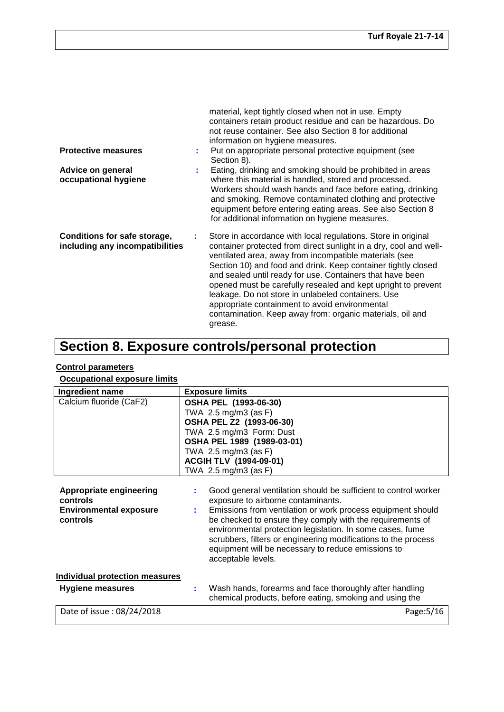| <b>Protective measures</b><br>Advice on general<br>occupational hygiene | material, kept tightly closed when not in use. Empty<br>containers retain product residue and can be hazardous. Do<br>not reuse container. See also Section 8 for additional<br>information on hygiene measures.<br>Put on appropriate personal protective equipment (see<br>Section 8).<br>Eating, drinking and smoking should be prohibited in areas<br>where this material is handled, stored and processed.<br>Workers should wash hands and face before eating, drinking<br>and smoking. Remove contaminated clothing and protective                                   |
|-------------------------------------------------------------------------|-----------------------------------------------------------------------------------------------------------------------------------------------------------------------------------------------------------------------------------------------------------------------------------------------------------------------------------------------------------------------------------------------------------------------------------------------------------------------------------------------------------------------------------------------------------------------------|
|                                                                         | equipment before entering eating areas. See also Section 8<br>for additional information on hygiene measures.                                                                                                                                                                                                                                                                                                                                                                                                                                                               |
| Conditions for safe storage,<br>including any incompatibilities         | Store in accordance with local regulations. Store in original<br>container protected from direct sunlight in a dry, cool and well-<br>ventilated area, away from incompatible materials (see<br>Section 10) and food and drink. Keep container tightly closed<br>and sealed until ready for use. Containers that have been<br>opened must be carefully resealed and kept upright to prevent<br>leakage. Do not store in unlabeled containers. Use<br>appropriate containment to avoid environmental<br>contamination. Keep away from: organic materials, oil and<br>grease. |

# **Section 8. Exposure controls/personal protection**

# **Control parameters**

# **Occupational exposure limits**

| Ingredient name                                                                  | <b>Exposure limits</b>                                                                                                                                                                                                                                                                                                                                                                                                                       |
|----------------------------------------------------------------------------------|----------------------------------------------------------------------------------------------------------------------------------------------------------------------------------------------------------------------------------------------------------------------------------------------------------------------------------------------------------------------------------------------------------------------------------------------|
| Calcium fluoride (CaF2)                                                          | OSHA PEL (1993-06-30)<br>TWA 2.5 mg/m3 (as F)<br>OSHA PEL Z2 (1993-06-30)<br>TWA 2.5 mg/m3 Form: Dust<br>OSHA PEL 1989 (1989-03-01)<br>TWA 2.5 mg/m3 (as F)<br>ACGIH TLV (1994-09-01)<br>TWA 2.5 mg/m3 (as F)                                                                                                                                                                                                                                |
| Appropriate engineering<br>controls<br><b>Environmental exposure</b><br>controls | Good general ventilation should be sufficient to control worker<br>exposure to airborne contaminants.<br>Emissions from ventilation or work process equipment should<br>be checked to ensure they comply with the requirements of<br>environmental protection legislation. In some cases, fume<br>scrubbers, filters or engineering modifications to the process<br>equipment will be necessary to reduce emissions to<br>acceptable levels. |
| <b>Individual protection measures</b>                                            |                                                                                                                                                                                                                                                                                                                                                                                                                                              |
| <b>Hygiene measures</b>                                                          | Wash hands, forearms and face thoroughly after handling<br>chemical products, before eating, smoking and using the                                                                                                                                                                                                                                                                                                                           |
| Date of issue: 08/24/2018                                                        | Page: 5/16                                                                                                                                                                                                                                                                                                                                                                                                                                   |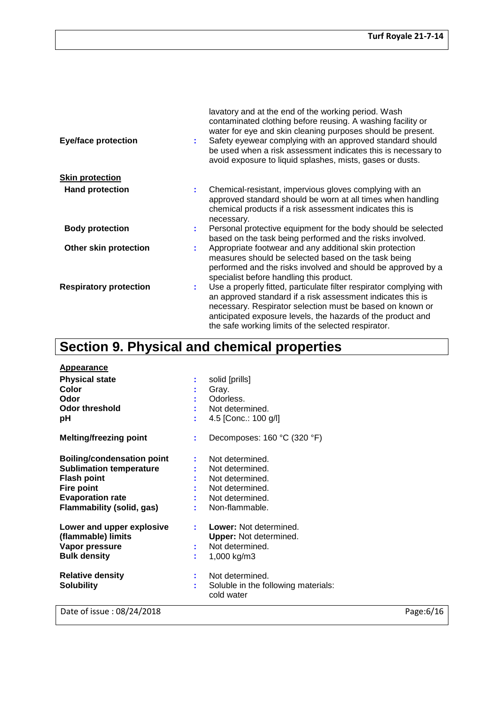| <b>Eye/face protection</b>    | lavatory and at the end of the working period. Wash<br>contaminated clothing before reusing. A washing facility or<br>water for eye and skin cleaning purposes should be present.<br>Safety eyewear complying with an approved standard should<br>be used when a risk assessment indicates this is necessary to<br>avoid exposure to liquid splashes, mists, gases or dusts. |
|-------------------------------|------------------------------------------------------------------------------------------------------------------------------------------------------------------------------------------------------------------------------------------------------------------------------------------------------------------------------------------------------------------------------|
| <b>Skin protection</b>        |                                                                                                                                                                                                                                                                                                                                                                              |
| <b>Hand protection</b>        | Chemical-resistant, impervious gloves complying with an<br>÷.<br>approved standard should be worn at all times when handling<br>chemical products if a risk assessment indicates this is<br>necessary.                                                                                                                                                                       |
| <b>Body protection</b>        | Personal protective equipment for the body should be selected<br>based on the task being performed and the risks involved.                                                                                                                                                                                                                                                   |
| Other skin protection         | Appropriate footwear and any additional skin protection<br>measures should be selected based on the task being<br>performed and the risks involved and should be approved by a<br>specialist before handling this product.                                                                                                                                                   |
| <b>Respiratory protection</b> | Use a properly fitted, particulate filter respirator complying with<br>an approved standard if a risk assessment indicates this is<br>necessary. Respirator selection must be based on known or<br>anticipated exposure levels, the hazards of the product and<br>the safe working limits of the selected respirator.                                                        |

# **Section 9. Physical and chemical properties**

| <b>Appearance</b>                                                                                                                                                             |                                                                                                                                                                        |           |
|-------------------------------------------------------------------------------------------------------------------------------------------------------------------------------|------------------------------------------------------------------------------------------------------------------------------------------------------------------------|-----------|
| <b>Physical state</b><br>Color<br>Odor<br><b>Odor threshold</b><br>рH                                                                                                         | solid [prills]<br>÷<br>Gray.<br>Odorless.<br>Not determined.<br>4.5 [Conc.: 100 g/l]                                                                                   |           |
| <b>Melting/freezing point</b>                                                                                                                                                 | Decomposes: 160 °C (320 °F)<br>÷                                                                                                                                       |           |
| <b>Boiling/condensation point</b><br><b>Sublimation temperature</b><br><b>Flash point</b><br><b>Fire point</b><br><b>Evaporation rate</b><br><b>Flammability (solid, gas)</b> | Not determined.<br>Not determined.<br>Not determined.<br>Not determined.<br>Not determined.<br>Non-flammable.                                                          |           |
| Lower and upper explosive<br>(flammable) limits<br>Vapor pressure<br><b>Bulk density</b><br><b>Relative density</b><br><b>Solubility</b>                                      | Lower: Not determined.<br>÷<br><b>Upper:</b> Not determined.<br>Not determined.<br>1,000 kg/m3<br>Not determined.<br>Soluble in the following materials:<br>cold water |           |
| Date of issue: 08/24/2018                                                                                                                                                     |                                                                                                                                                                        | Page:6/16 |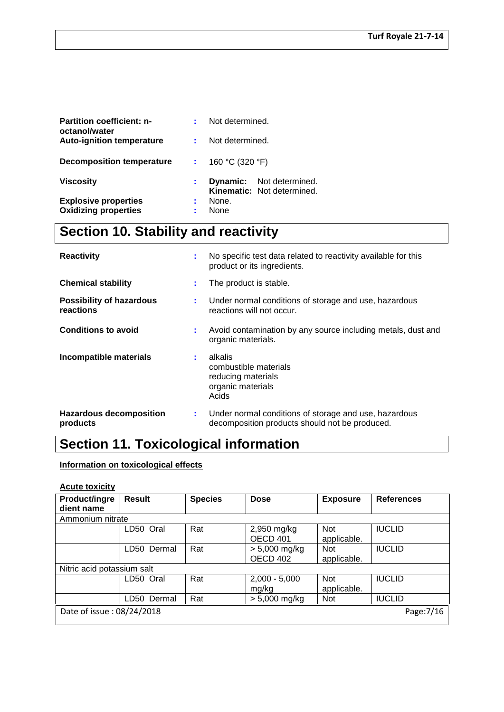| <b>Partition coefficient: n-</b><br>octanol/water |    | Not determined. |                                                               |
|---------------------------------------------------|----|-----------------|---------------------------------------------------------------|
| <b>Auto-ignition temperature</b>                  |    | Not determined. |                                                               |
| <b>Decomposition temperature</b>                  |    | 160 °C (320 °F) |                                                               |
| <b>Viscosity</b>                                  | t. |                 | <b>Dynamic:</b> Not determined.<br>Kinematic: Not determined. |
| <b>Explosive properties</b>                       | ÷  | None.           |                                                               |
| <b>Oxidizing properties</b>                       | ÷  | None            |                                                               |

# **Section 10. Stability and reactivity**

| <b>Reactivity</b>                            | ÷  | No specific test data related to reactivity available for this<br>product or its ingredients.           |
|----------------------------------------------|----|---------------------------------------------------------------------------------------------------------|
| <b>Chemical stability</b>                    | ÷  | The product is stable.                                                                                  |
| <b>Possibility of hazardous</b><br>reactions | ÷. | Under normal conditions of storage and use, hazardous<br>reactions will not occur.                      |
| <b>Conditions to avoid</b>                   | ÷  | Avoid contamination by any source including metals, dust and<br>organic materials.                      |
| Incompatible materials                       | ÷  | alkalis<br>combustible materials<br>reducing materials<br>organic materials<br>Acids                    |
| <b>Hazardous decomposition</b><br>products   | ÷  | Under normal conditions of storage and use, hazardous<br>decomposition products should not be produced. |

# **Section 11. Toxicological information**

# **Information on toxicological effects**

# **Acute toxicity**

| <b>Product/ingre</b>                    | <b>Result</b>  | <b>Species</b> | <b>Dose</b>     | <b>Exposure</b> | <b>References</b> |  |  |  |
|-----------------------------------------|----------------|----------------|-----------------|-----------------|-------------------|--|--|--|
| dient name                              |                |                |                 |                 |                   |  |  |  |
| Ammonium nitrate                        |                |                |                 |                 |                   |  |  |  |
|                                         | LD50 Oral      | Rat            | 2,950 mg/kg     | <b>Not</b>      | <b>IUCLID</b>     |  |  |  |
|                                         |                |                | <b>OECD 401</b> | applicable.     |                   |  |  |  |
|                                         | LD50 Dermal    | Rat            | $> 5,000$ mg/kg | <b>Not</b>      | <b>IUCLID</b>     |  |  |  |
|                                         |                |                | OECD 402        | applicable.     |                   |  |  |  |
| Nitric acid potassium salt              |                |                |                 |                 |                   |  |  |  |
|                                         | LD50 Oral      | Rat            | $2,000 - 5,000$ | <b>Not</b>      | <b>IUCLID</b>     |  |  |  |
|                                         |                |                | mg/kg           | applicable.     |                   |  |  |  |
|                                         | LD50<br>Dermal | Rat            | > 5,000 mg/kg   | <b>Not</b>      | <b>IUCLID</b>     |  |  |  |
| Date of issue: 08/24/2018<br>Page: 7/16 |                |                |                 |                 |                   |  |  |  |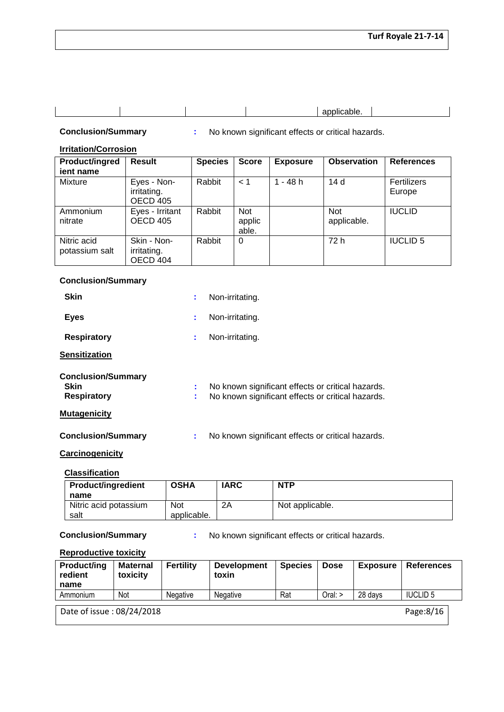|  |  | applicable. |  |
|--|--|-------------|--|

**Conclusion/Summary :** No known significant effects or critical hazards.

# **Irritation/Corrosion**

| Product/ingred<br>jent name   | <b>Result</b>                          | <b>Species</b> | <b>Score</b>                  | <b>Exposure</b> | <b>Observation</b>        | <b>References</b>     |
|-------------------------------|----------------------------------------|----------------|-------------------------------|-----------------|---------------------------|-----------------------|
| <b>Mixture</b>                | Eyes - Non-<br>irritating.<br>OECD 405 | Rabbit         | < 1                           | $1 - 48 h$      | 14 d                      | Fertilizers<br>Europe |
| Ammonium<br>nitrate           | Eyes - Irritant<br><b>OECD 405</b>     | Rabbit         | <b>Not</b><br>applic<br>able. |                 | <b>Not</b><br>applicable. | <b>IUCLID</b>         |
| Nitric acid<br>potassium salt | Skin - Non-<br>irritating.<br>OECD 404 | Rabbit         | 0                             |                 | 72 h                      | <b>IUCLID 5</b>       |

# **Conclusion/Summary**

| <b>Skin</b>                                                    | ÷.     | Non-irritating.                                                                                        |
|----------------------------------------------------------------|--------|--------------------------------------------------------------------------------------------------------|
| <b>Eyes</b>                                                    | ÷      | Non-irritating.                                                                                        |
| <b>Respiratory</b>                                             | ÷      | Non-irritating.                                                                                        |
| <b>Sensitization</b>                                           |        |                                                                                                        |
| <b>Conclusion/Summary</b><br><b>Skin</b><br><b>Respiratory</b> | ÷<br>÷ | No known significant effects or critical hazards.<br>No known significant effects or critical hazards. |
| <b>Mutagenicity</b>                                            |        |                                                                                                        |
| <b>Conclusion/Summary</b>                                      | ÷      | No known significant effects or critical hazards.                                                      |

# **Carcinogenicity**

# **Classification**

| <b>Product/ingredient</b>     | <b>OSHA</b>        | <b>IARC</b> | <b>NTP</b>      |
|-------------------------------|--------------------|-------------|-----------------|
| name                          |                    |             |                 |
| Nitric acid potassium<br>salt | Not<br>applicable. | 2A          | Not applicable. |

**Conclusion/Summary :** No known significant effects or critical hazards.

### **Reproductive toxicity**

| <b>Product/ing</b><br>redient<br>name  | <b>Maternal</b><br>toxicity | <b>Fertility</b> | <b>Development</b><br>toxin | <b>Species</b> | <b>Dose</b> | <b>Exposure</b> | <b>References</b> |  |
|----------------------------------------|-----------------------------|------------------|-----------------------------|----------------|-------------|-----------------|-------------------|--|
| Ammonium                               | Not                         | <b>Negative</b>  | <b>Negative</b>             | Rat            | Oral: >     | 28 days         | <b>IUCLID 5</b>   |  |
| Page:8/16<br>Date of issue: 08/24/2018 |                             |                  |                             |                |             |                 |                   |  |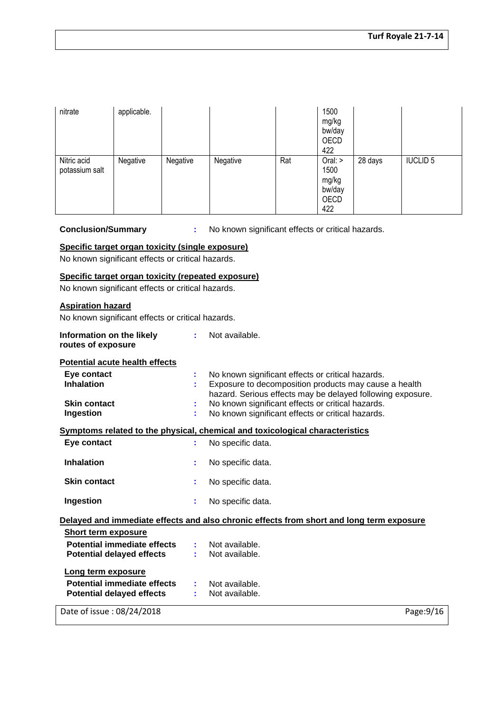| nitrate                       | applicable. |          |          |     | 1500<br>mg/kg<br>bw/day<br>OECD<br>422          |         |                 |
|-------------------------------|-------------|----------|----------|-----|-------------------------------------------------|---------|-----------------|
| Nitric acid<br>potassium salt | Negative    | Negative | Negative | Rat | Oral:<br>1500<br>mg/kg<br>bw/day<br>OECD<br>422 | 28 days | <b>IUCLID 5</b> |

# **Conclusion/Summary :** No known significant effects or critical hazards.

#### **Specific target organ toxicity (single exposure)**

No known significant effects or critical hazards.

#### **Specific target organ toxicity (repeated exposure)**

No known significant effects or critical hazards.

# **Aspiration hazard**

No known significant effects or critical hazards.

| Information on the likely<br>routes of exposure | ÷. | Not available.                                                                           |
|-------------------------------------------------|----|------------------------------------------------------------------------------------------|
| <b>Potential acute health effects</b>           |    |                                                                                          |
| Eye contact                                     | t  | No known significant effects or critical hazards.                                        |
| <b>Inhalation</b>                               |    | Exposure to decomposition products may cause a health                                    |
|                                                 |    | hazard. Serious effects may be delayed following exposure.                               |
| <b>Skin contact</b>                             |    | No known significant effects or critical hazards.                                        |
| Ingestion                                       | ÷  | No known significant effects or critical hazards.                                        |
|                                                 |    | Symptoms related to the physical, chemical and toxicological characteristics             |
| Eye contact                                     | ÷  | No specific data.                                                                        |
|                                                 |    |                                                                                          |
| <b>Inhalation</b>                               |    | No specific data.                                                                        |
| <b>Skin contact</b>                             | ÷  | No specific data.                                                                        |
| Ingestion                                       | ÷  | No specific data.                                                                        |
|                                                 |    | Delayed and immediate effects and also chronic effects from short and long term exposure |
| <b>Short term exposure</b>                      |    |                                                                                          |
| Potential immediate effects                     |    | Not available.                                                                           |
| <b>Potential delayed effects</b>                | ÷. | Not available.                                                                           |
|                                                 |    |                                                                                          |
| Long term exposure                              |    |                                                                                          |
| Potential immediate effects                     |    | Not available.                                                                           |
| <b>Potential delayed effects</b>                |    | Not available.                                                                           |
| Date of issue: 08/24/2018                       |    | Page: 9/16                                                                               |
|                                                 |    |                                                                                          |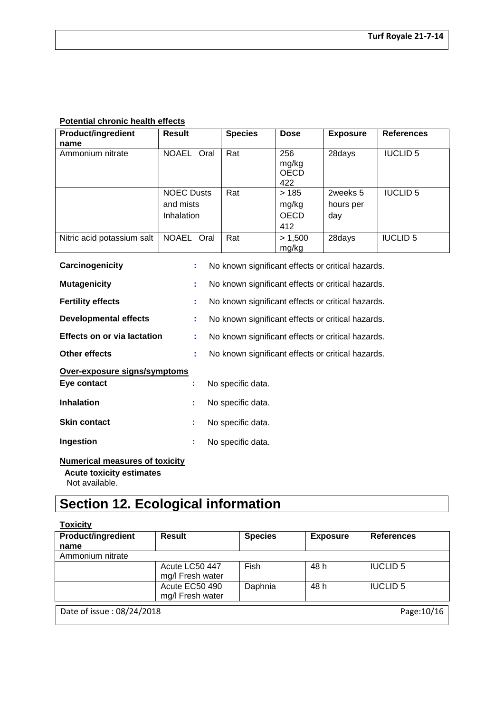# **Potential chronic health effects**

| <b>Product/ingredient</b><br>name | <b>Result</b>                                | <b>Species</b> | <b>Dose</b>                         | <b>Exposure</b>              | <b>References</b> |
|-----------------------------------|----------------------------------------------|----------------|-------------------------------------|------------------------------|-------------------|
| Ammonium nitrate                  | <b>NOAEL</b><br>Oral                         | Rat            | 256<br>mg/kg<br><b>OECD</b><br>422  | 28days                       | <b>IUCLID 5</b>   |
|                                   | <b>NOEC Dusts</b><br>and mists<br>Inhalation | Rat            | >185<br>mg/kg<br><b>OECD</b><br>412 | 2weeks 5<br>hours per<br>day | <b>IUCLID 5</b>   |
| Nitric acid potassium salt        | <b>NOAEL</b><br>Oral                         | Rat            | > 1,500<br>mg/kg                    | 28days                       | <b>IUCLID 5</b>   |

| Carcinogenicity                    |    | No known significant effects or critical hazards. |
|------------------------------------|----|---------------------------------------------------|
| <b>Mutagenicity</b>                |    | No known significant effects or critical hazards. |
| <b>Fertility effects</b>           |    | No known significant effects or critical hazards. |
| <b>Developmental effects</b>       | ÷. | No known significant effects or critical hazards. |
| <b>Effects on or via lactation</b> |    | No known significant effects or critical hazards. |
| Other effects                      |    | No known significant effects or critical hazards. |
| Over-exposure signs/symptoms       |    |                                                   |
| Eye contact                        | ÷  | No specific data.                                 |
| <b>Inhalation</b>                  | t  | No specific data.                                 |
| <b>Skin contact</b>                | ÷  | No specific data.                                 |
| Ingestion                          | t  | No specific data.                                 |
|                                    |    |                                                   |

# **Numerical measures of toxicity**

 **Acute toxicity estimates** Not available.

# **Section 12. Ecological information**

# **Toxicity**

| <b>Product/ingredient</b>                | <b>Result</b>    | <b>Species</b> | <b>Exposure</b> | <b>References</b> |  |
|------------------------------------------|------------------|----------------|-----------------|-------------------|--|
| name                                     |                  |                |                 |                   |  |
| Ammonium nitrate                         |                  |                |                 |                   |  |
|                                          | Acute LC50 447   | <b>Fish</b>    | 48 h            | <b>IUCLID 5</b>   |  |
|                                          | mg/I Fresh water |                |                 |                   |  |
|                                          | Acute EC50 490   | Daphnia        | 48 h            | <b>IUCLID 5</b>   |  |
|                                          | mg/l Fresh water |                |                 |                   |  |
| Date of issue: 08/24/2018<br>Page: 10/16 |                  |                |                 |                   |  |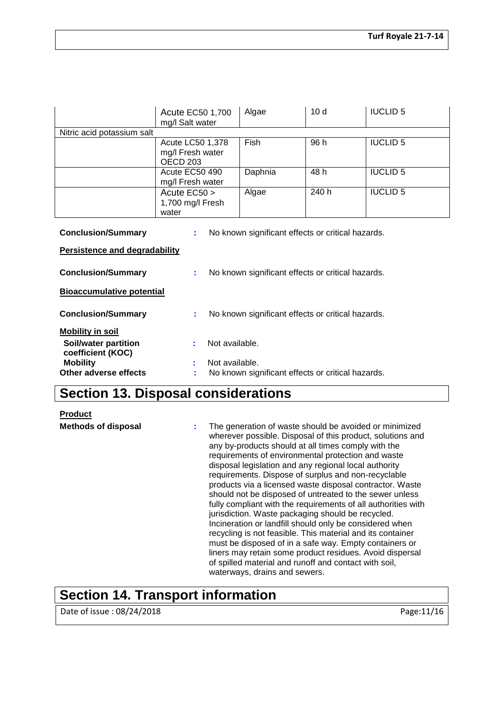| Acute EC50 1,700<br>mg/l Salt water                                                  |                                                         | Algae                                             | 10 <sub>d</sub> | <b>IUCLID 5</b> |  |  |
|--------------------------------------------------------------------------------------|---------------------------------------------------------|---------------------------------------------------|-----------------|-----------------|--|--|
| Nitric acid potassium salt                                                           |                                                         |                                                   |                 |                 |  |  |
|                                                                                      | Acute LC50 1,378<br>mg/l Fresh water<br><b>OECD 203</b> | Fish                                              | 96 h            | <b>IUCLID 5</b> |  |  |
|                                                                                      | Acute EC50 490<br>mg/l Fresh water                      | Daphnia                                           | 48 h            | <b>IUCLID 5</b> |  |  |
|                                                                                      | Acute EC50 ><br>1,700 mg/l Fresh<br>water               | Algae                                             | 240 h           | <b>IUCLID 5</b> |  |  |
| <b>Conclusion/Summary</b><br>No known significant effects or critical hazards.<br>t. |                                                         |                                                   |                 |                 |  |  |
| Persistence and degradability                                                        |                                                         |                                                   |                 |                 |  |  |
| <b>Conclusion/Summary</b><br>No known significant effects or critical hazards.<br>÷. |                                                         |                                                   |                 |                 |  |  |
| <b>Bioaccumulative potential</b>                                                     |                                                         |                                                   |                 |                 |  |  |
| <b>Conclusion/Summary</b><br>No known significant effects or critical hazards.<br>t. |                                                         |                                                   |                 |                 |  |  |
| <b>Mobility in soil</b>                                                              |                                                         |                                                   |                 |                 |  |  |
| Soil/water partition<br>coefficient (KOC)                                            | Not available.                                          |                                                   |                 |                 |  |  |
| <b>Mobility</b><br><b>Other adverse effects</b>                                      | Not available.                                          | No known significant effects or critical hazards. |                 |                 |  |  |

# **Section 13. Disposal considerations**

**Product**

**Methods of disposal :** The generation of waste should be avoided or minimized wherever possible. Disposal of this product, solutions and any by-products should at all times comply with the requirements of environmental protection and waste disposal legislation and any regional local authority requirements. Dispose of surplus and non-recyclable products via a licensed waste disposal contractor. Waste should not be disposed of untreated to the sewer unless fully compliant with the requirements of all authorities with jurisdiction. Waste packaging should be recycled. Incineration or landfill should only be considered when recycling is not feasible. This material and its container must be disposed of in a safe way. Empty containers or liners may retain some product residues. Avoid dispersal of spilled material and runoff and contact with soil, waterways, drains and sewers.

# **Section 14. Transport information**

Date of issue : 08/24/2018 **Page:**11/16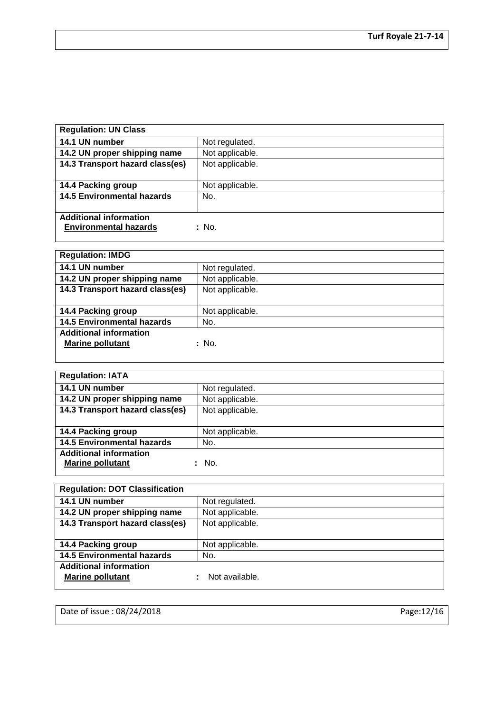| <b>Regulation: UN Class</b>       |                 |
|-----------------------------------|-----------------|
| 14.1 UN number                    | Not regulated.  |
| 14.2 UN proper shipping name      | Not applicable. |
| 14.3 Transport hazard class(es)   | Not applicable. |
|                                   |                 |
| 14.4 Packing group                | Not applicable. |
| <b>14.5 Environmental hazards</b> | No.             |
|                                   |                 |
| <b>Additional information</b>     |                 |
| <b>Environmental hazards</b>      | : No.           |
|                                   |                 |

| <b>Regulation: IMDG</b>           |                 |
|-----------------------------------|-----------------|
| 14.1 UN number                    | Not regulated.  |
| 14.2 UN proper shipping name      | Not applicable. |
| 14.3 Transport hazard class(es)   | Not applicable. |
|                                   |                 |
| 14.4 Packing group                | Not applicable. |
| <b>14.5 Environmental hazards</b> | No.             |
| <b>Additional information</b>     |                 |
| <b>Marine pollutant</b>           | : No.           |
|                                   |                 |

| <b>Regulation: IATA</b>           |                 |
|-----------------------------------|-----------------|
| 14.1 UN number                    | Not regulated.  |
| 14.2 UN proper shipping name      | Not applicable. |
| 14.3 Transport hazard class(es)   | Not applicable. |
|                                   |                 |
| 14.4 Packing group                | Not applicable. |
| <b>14.5 Environmental hazards</b> | No.             |
| <b>Additional information</b>     |                 |
| <b>Marine pollutant</b>           | No.             |

| <b>Regulation: DOT Classification</b> |                 |
|---------------------------------------|-----------------|
| 14.1 UN number                        | Not regulated.  |
| 14.2 UN proper shipping name          | Not applicable. |
| 14.3 Transport hazard class(es)       | Not applicable. |
|                                       |                 |
| 14.4 Packing group                    | Not applicable. |
| <b>14.5 Environmental hazards</b>     | No.             |
| <b>Additional information</b>         |                 |
| <b>Marine pollutant</b>               | Not available.  |
|                                       |                 |

Date of issue : 08/24/2018 Page:12/16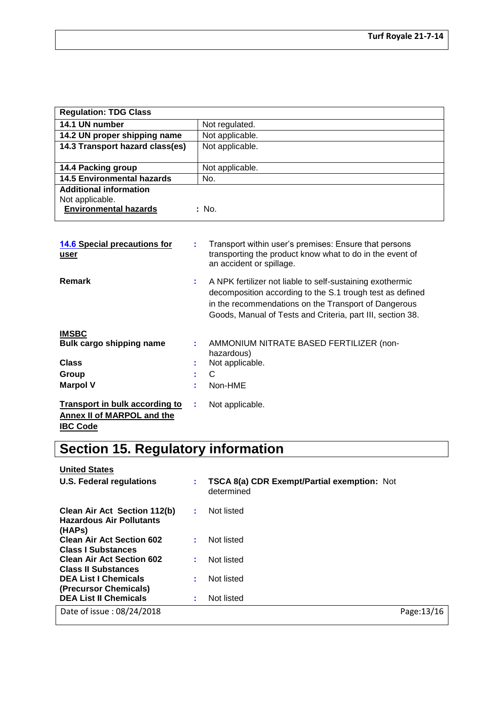| <b>Regulation: TDG Class</b>                                                     |                 |
|----------------------------------------------------------------------------------|-----------------|
| 14.1 UN number                                                                   | Not regulated.  |
| 14.2 UN proper shipping name                                                     | Not applicable. |
| 14.3 Transport hazard class(es)                                                  | Not applicable. |
|                                                                                  |                 |
| 14.4 Packing group                                                               | Not applicable. |
| <b>14.5 Environmental hazards</b>                                                | No.             |
| <b>Additional information</b><br>Not applicable.<br><b>Environmental hazards</b> | : No.           |

| 14.6 Special precautions for<br>user                                | ÷ | Transport within user's premises: Ensure that persons<br>transporting the product know what to do in the event of<br>an accident or spillage.                                                                                                |
|---------------------------------------------------------------------|---|----------------------------------------------------------------------------------------------------------------------------------------------------------------------------------------------------------------------------------------------|
| Remark                                                              | ÷ | A NPK fertilizer not liable to self-sustaining exothermic<br>decomposition according to the S.1 trough test as defined<br>in the recommendations on the Transport of Dangerous<br>Goods, Manual of Tests and Criteria, part III, section 38. |
| <b>IMSBC</b>                                                        |   |                                                                                                                                                                                                                                              |
| Bulk cargo shipping name                                            | ÷ | AMMONIUM NITRATE BASED FERTILIZER (non-<br>hazardous)                                                                                                                                                                                        |
| <b>Class</b>                                                        | ÷ | Not applicable.                                                                                                                                                                                                                              |
| Group                                                               |   | C                                                                                                                                                                                                                                            |
| <b>Marpol V</b>                                                     | t | Non-HME                                                                                                                                                                                                                                      |
| <b>Transport in bulk according to</b><br>Annex II of MARPOL and the | ÷ | Not applicable.                                                                                                                                                                                                                              |

# **IBC Code**

# **Section 15. Regulatory information**

# **United States**

| U.S. Federal regulations                                                  |   | <b>TSCA 8(a) CDR Exempt/Partial exemption: Not</b><br>determined |             |
|---------------------------------------------------------------------------|---|------------------------------------------------------------------|-------------|
| Clean Air Act Section 112(b)<br><b>Hazardous Air Pollutants</b><br>(HAPs) | ÷ | Not listed                                                       |             |
| <b>Clean Air Act Section 602</b><br><b>Class I Substances</b>             |   | Not listed                                                       |             |
| <b>Clean Air Act Section 602</b><br><b>Class II Substances</b>            |   | Not listed                                                       |             |
| <b>DEA List I Chemicals</b><br>(Precursor Chemicals)                      | ÷ | Not listed                                                       |             |
| <b>DEA List II Chemicals</b>                                              | ÷ | Not listed                                                       |             |
| Date of issue: 08/24/2018                                                 |   |                                                                  | Page: 13/16 |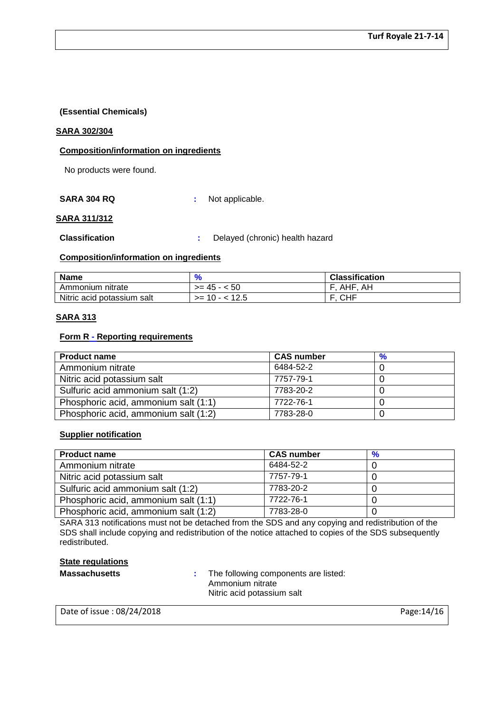# **(Essential Chemicals)**

#### **SARA 302/304**

# **Composition/information on ingredients**

No products were found.

**SARA 304 RQ :** Not applicable.

### **SARA 311/312**

**Classification :** Delayed (chronic) health hazard

### **Composition/information on ingredients**

| <b>Name</b>                |                   | <b>Classification</b> |
|----------------------------|-------------------|-----------------------|
| Ammonium nitrate           | $>= 45 - 50$      | AH<br>AHF.            |
| Nitric acid potassium salt | $\ge$ 10 - < 12.5 | . CHF                 |

# **SARA 313**

### **Form R - Reporting requirements**

| <b>Product name</b>                  | <b>CAS number</b> |  |
|--------------------------------------|-------------------|--|
| Ammonium nitrate                     | 6484-52-2         |  |
| Nitric acid potassium salt           | 7757-79-1         |  |
| Sulfuric acid ammonium salt (1:2)    | 7783-20-2         |  |
| Phosphoric acid, ammonium salt (1:1) | 7722-76-1         |  |
| Phosphoric acid, ammonium salt (1:2) | 7783-28-0         |  |

### **Supplier notification**

| <b>Product name</b>                  | <b>CAS number</b> | $\frac{9}{6}$ |
|--------------------------------------|-------------------|---------------|
| Ammonium nitrate                     | 6484-52-2         |               |
| Nitric acid potassium salt           | 7757-79-1         |               |
| Sulfuric acid ammonium salt (1:2)    | 7783-20-2         |               |
| Phosphoric acid, ammonium salt (1:1) | 7722-76-1         |               |
| Phosphoric acid, ammonium salt (1:2) | 7783-28-0         |               |

SARA 313 notifications must not be detached from the SDS and any copying and redistribution of the SDS shall include copying and redistribution of the notice attached to copies of the SDS subsequently redistributed.

# **State regulations**

**Massachusetts :** The following components are listed: Ammonium nitrate Nitric acid potassium salt

Date of issue : 08/24/2018 **Page:**14/16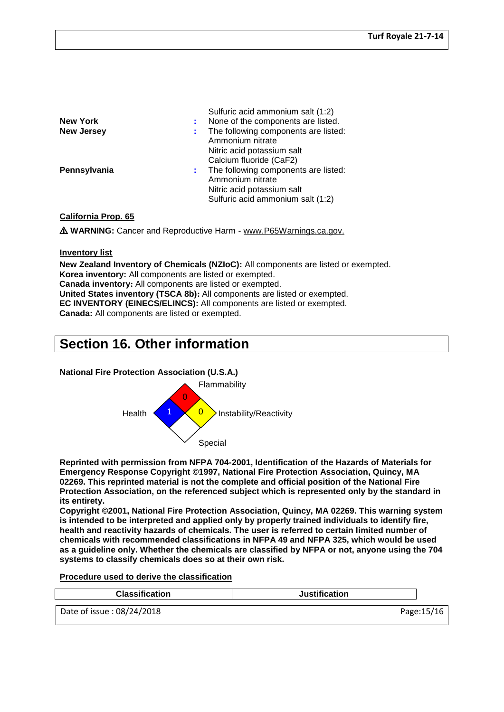| <b>New York</b><br><b>New Jersey</b> | Sulfuric acid ammonium salt (1:2)<br>None of the components are listed.<br>The following components are listed:<br>Ammonium nitrate             |
|--------------------------------------|-------------------------------------------------------------------------------------------------------------------------------------------------|
| Pennsylvania                         | Nitric acid potassium salt<br>Calcium fluoride (CaF2)<br>The following components are listed:<br>Ammonium nitrate<br>Nitric acid potassium salt |
|                                      | Sulfuric acid ammonium salt (1:2)                                                                                                               |

#### **California Prop. 65**

⚠ **WARNING:** Cancer and Reproductive Harm - www.P65Warnings.ca.gov.

### **Inventory list**

**New Zealand Inventory of Chemicals (NZIoC):** All components are listed or exempted. **Korea inventory:** All components are listed or exempted. **Canada inventory:** All components are listed or exempted. **United States inventory (TSCA 8b):** All components are listed or exempted. **EC INVENTORY (EINECS/ELINCS):** All components are listed or exempted. **Canada:** All components are listed or exempted.

# **Section 16. Other information**

### **National Fire Protection Association (U.S.A.)**



**Reprinted with permission from NFPA 704-2001, Identification of the Hazards of Materials for Emergency Response Copyright ©1997, National Fire Protection Association, Quincy, MA 02269. This reprinted material is not the complete and official position of the National Fire Protection Association, on the referenced subject which is represented only by the standard in its entirety.**

**Copyright ©2001, National Fire Protection Association, Quincy, MA 02269. This warning system is intended to be interpreted and applied only by properly trained individuals to identify fire, health and reactivity hazards of chemicals. The user is referred to certain limited number of chemicals with recommended classifications in NFPA 49 and NFPA 325, which would be used as a guideline only. Whether the chemicals are classified by NFPA or not, anyone using the 704 systems to classify chemicals does so at their own risk.**

#### **Procedure used to derive the classification**

| <b>Classification</b>     | <b>Justification</b> |            |
|---------------------------|----------------------|------------|
| Date of issue: 08/24/2018 |                      | Page:15/16 |